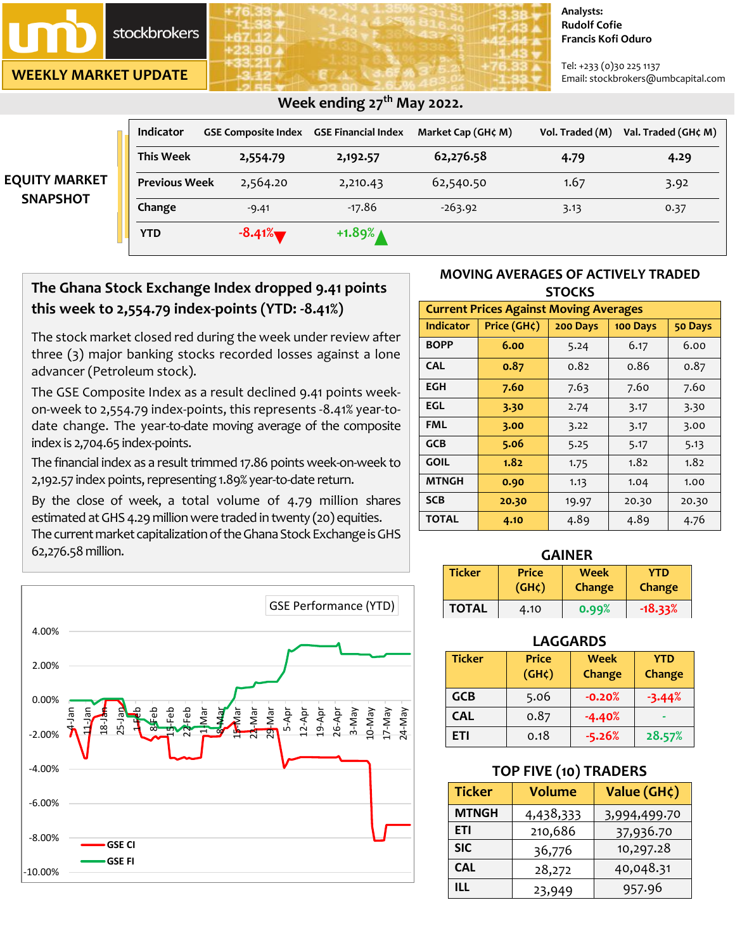# **stockbrokers**

**WEEKLY MARKET UPDATE**

#### **Analysts: Rudolf Cofie Francis Kofi Oduro**

Tel: +233 (0)30 225 1137 Email: stockbrokers@umbcapital.com

| <b>EQUITY MARKET</b> | <b>Indicator</b>     | <b>GSE Composite Index</b> | <b>GSE Financial Index</b> | Market Cap (GH¢ M) | Vol. Traded (M) | Val. Traded (GH¢ M) |
|----------------------|----------------------|----------------------------|----------------------------|--------------------|-----------------|---------------------|
|                      | <b>This Week</b>     | 2,554.79                   | 2,192.57                   | 62,276.58          | 4.79            | 4.29                |
|                      | <b>Previous Week</b> | 2,564.20                   | 2,210.43                   | 62,540.50          | 1.67            | 3.92                |
| <b>SNAPSHOT</b>      | Change               | $-9.41$                    | $-17.86$                   | $-263.92$          | 3.13            | 0.37                |
|                      | <b>YTD</b>           | $-8.41%$                   | $+1.89%$                   |                    |                 |                     |

#### **Week ending 27th May 2022.**

## **The Ghana Stock Exchange Index dropped 9.41 points this week to 2,554.79 index-points (YTD: -8.41%)**

The stock market closed red during the week under review after three (3) major banking stocks recorded losses against a lone advancer (Petroleum stock).

The GSE Composite Index as a result declined 9.41 points weekon-week to 2,554.79 index-points, this represents -8.41% year-todate change. The year-to-date moving average of the composite index is 2,704.65 index-points.

The financial index as a result trimmed 17.86 points week-on-week to 2,192.57 index points, representing 1.89% year-to-date return.

By the close of week, a total volume of 4.79 million shares estimated at GHS 4.29 million were traded in twenty (20) equities.

The current market capitalization of the Ghana Stock Exchange is GHS 62,276.58 million. **GAINER**



#### **MOVING AVERAGES OF ACTIVELY TRADED STOCKS**

| <b>Current Prices Against Moving Averages</b> |                   |          |          |         |  |
|-----------------------------------------------|-------------------|----------|----------|---------|--|
| <b>Indicator</b>                              | Price $(GH\zeta)$ | 200 Days | 100 Days | 50 Days |  |
| <b>BOPP</b>                                   | 6.00              | 5.24     | 6.17     | 6.00    |  |
| <b>CAL</b>                                    | 0.87              | 0.82     | 0.86     | 0.87    |  |
| EGH                                           | 7.60              | 7.63     | 7.60     | 7.60    |  |
| <b>EGL</b>                                    | 3.30              | 2.74     | 3.17     | 3.30    |  |
| FML                                           | 3.00              | 3.22     | 3.17     | 3.00    |  |
| <b>GCB</b>                                    | 5.06              | 5.25     | 5.17     | 5.13    |  |
| <b>GOIL</b>                                   | 1.82              | 1.75     | 1.82     | 1.82    |  |
| <b>MTNGH</b>                                  | 0.90              | 1.13     | 1.04     | 1.00    |  |
| <b>SCB</b>                                    | 20.30             | 19.97    | 20.30    | 20.30   |  |
| <b>TOTAL</b>                                  | 4.10              | 4.89     | 4.89     | 4.76    |  |

| <b>Ticker</b> | <b>Price</b> | Week   | YTD       |
|---------------|--------------|--------|-----------|
|               | $(GH\zeta)$  | Change | Change    |
| <b>TOTAL</b>  | 4.10         | 0.99%  | $-18.33%$ |

## **LAGGARDS**

| <b>Ticker</b> | <b>Price</b><br>(GH <sub>c</sub> ) | <b>Week</b><br>Change | <b>YTD</b><br>Change |
|---------------|------------------------------------|-----------------------|----------------------|
| <b>GCB</b>    | 5.06                               | $-0.20%$              | $-3.44%$             |
| CAL           | 0.87                               | $-4.40%$              |                      |
| ETI           | 0.18                               | $-5.26%$              | 28.57%               |

## **TOP FIVE (10) TRADERS**

| <b>Ticker</b> | <b>Volume</b> | Value (GH¢)  |
|---------------|---------------|--------------|
| <b>MTNGH</b>  | 4,438,333     | 3,994,499.70 |
| ETI           | 210,686       | 37,936.70    |
| <b>SIC</b>    | 36,776        | 10,297.28    |
| <b>CAL</b>    | 28,272        | 40,048.31    |
| ШL            | 23,949        | 957.96       |